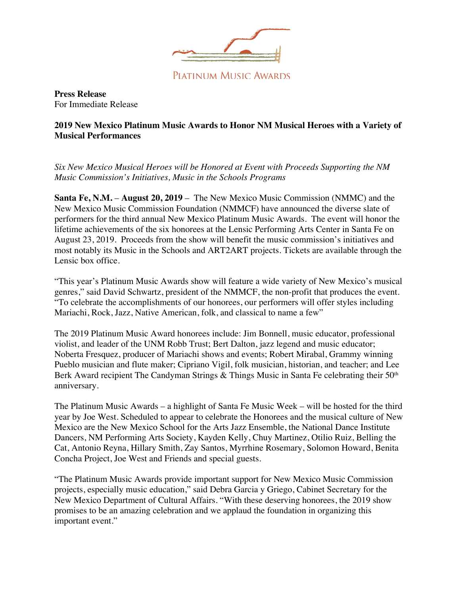

PIATINUM MUSIC AWARDS

**Press Release**  For Immediate Release

## **2019 New Mexico Platinum Music Awards to Honor NM Musical Heroes with a Variety of Musical Performances**

*Six New Mexico Musical Heroes will be Honored at Event with Proceeds Supporting the NM Music Commission's Initiatives, Music in the Schools Programs*

**Santa Fe, N.M.** – **August 20, 2019** – The New Mexico Music Commission (NMMC) and the New Mexico Music Commission Foundation (NMMCF) have announced the diverse slate of performers for the third annual New Mexico Platinum Music Awards. The event will honor the lifetime achievements of the six honorees at the Lensic Performing Arts Center in Santa Fe on August 23, 2019. Proceeds from the show will benefit the music commission's initiatives and most notably its Music in the Schools and ART2ART projects. Tickets are available through the Lensic box office.

"This year's Platinum Music Awards show will feature a wide variety of New Mexico's musical genres," said David Schwartz, president of the NMMCF, the non-profit that produces the event. "To celebrate the accomplishments of our honorees, our performers will offer styles including Mariachi, Rock, Jazz, Native American, folk, and classical to name a few"

The 2019 Platinum Music Award honorees include: Jim Bonnell, music educator, professional violist, and leader of the UNM Robb Trust; Bert Dalton, jazz legend and music educator; Noberta Fresquez, producer of Mariachi shows and events; Robert Mirabal, Grammy winning Pueblo musician and flute maker; Cipriano Vigil, folk musician, historian, and teacher; and Lee Berk Award recipient The Candyman Strings & Things Music in Santa Fe celebrating their 50<sup>th</sup> anniversary.

The Platinum Music Awards – a highlight of Santa Fe Music Week – will be hosted for the third year by Joe West. Scheduled to appear to celebrate the Honorees and the musical culture of New Mexico are the New Mexico School for the Arts Jazz Ensemble, the National Dance Institute Dancers, NM Performing Arts Society, Kayden Kelly, Chuy Martinez, Otilio Ruiz, Belling the Cat, Antonio Reyna, Hillary Smith, Zay Santos, Myrrhine Rosemary, Solomon Howard, Benita Concha Project, Joe West and Friends and special guests.

"The Platinum Music Awards provide important support for New Mexico Music Commission projects, especially music education," said Debra Garcia y Griego, Cabinet Secretary for the New Mexico Department of Cultural Affairs. "With these deserving honorees, the 2019 show promises to be an amazing celebration and we applaud the foundation in organizing this important event."